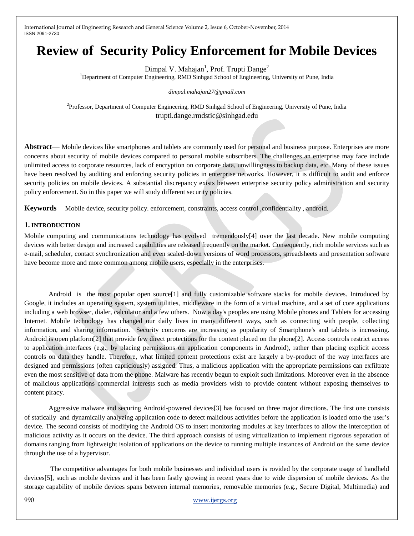# **Review of Security Policy Enforcement for Mobile Devices**

Dimpal V. Mahajan<sup>1</sup>, Prof. Trupti Dange<sup>2</sup>

<sup>1</sup>Department of Computer Engineering, RMD Sinhgad School of Engineering, University of Pune, India

#### *dimpal.mahajan27@gmail.com*

<sup>2</sup>Professor, Department of Computer Engineering, RMD Sinhgad School of Engineering, University of Pune, India [trupti.dange.rmdstic@sinhgad.edu](mailto:trupti.dange.rmdstic@sinhgad.edu)

**Abstract**— Mobile devices like smartphones and tablets are commonly used for personal and business purpose. Enterprises are more concerns about security of mobile devices compared to personal mobile subscribers. The challenges an enterprise may face include unlimited access to corporate resources, lack of encryption on corporate data, unwillingness to backup data, etc. Many of these issues have been resolved by auditing and enforcing security policies in enterprise networks. However, it is difficult to audit and enforce security policies on mobile devices. A substantial discrepancy exists between enterprise security policy administration and security policy enforcement. So in this paper we will study different security policies.

**Keywords**— Mobile device, security policy. enforcement, constraints, access control ,confidentiality , android.

## **1. INTRODUCTION**

Mobile computing and communications technology has evolved tremendously[4] over the last decade. New mobile computing devices with better design and increased capabilities are released frequently on the market. Consequently, rich mobile services such as e-mail, scheduler, contact synchronization and even scaled-down versions of word processors, spreadsheets and presentation software have become more and more common among mobile users, especially in the enter**p**rises.

Android is the most popular open source[1] and fully customizable software stacks for mobile devices. Introduced by Google, it includes an operating system, system utilities, middleware in the form of a virtual machine, and a set of core applications including a web browser, dialer, calculator and a few others. Now a day's peoples are using Mobile phones and Tablets for accessing Internet. Mobile technology has changed our daily lives in many different ways, such as connecting with people, collecting information, and sharing information. Security concerns are increasing as popularity of Smartphone's and tablets is increasing. Android is open platform[2] that provide few direct protections for the content placed on the phone[2]. Access controls restrict access to application interfaces (e.g., by placing permissions on application components in Android), rather than placing explicit access controls on data they handle. Therefore, what limited content protections exist are largely a by-product of the way interfaces are designed and permissions (often capriciously) assigned. Thus, a malicious application with the appropriate permissions can exfiltrate even the most sensitive of data from the phone. Malware has recently begun to exploit such limitations. Moreover even in the absence of malicious applications commercial interests such as media providers wish to provide content without exposing themselves to content piracy.

Aggressive malware and securing Android-powered devices[3] has focused on three major directions. The first one consists of statically and dynamically analyzing application code to detect malicious activities before the application is loaded onto the user's device. The second consists of modifying the Android OS to insert monitoring modules at key interfaces to allow the interception of malicious activity as it occurs on the device. The third approach consists of using virtualization to implement rigorous separation of domains ranging from lightweight isolation of applications on the device to running multiple instances of Android on the same device through the use of a hypervisor.

The competitive advantages for both mobile businesses and individual users is rovided by the corporate usage of handheld devices[5], such as mobile devices and it has been fastly growing in recent years due to wide dispersion of mobile devices. As the storage capability of mobile devices spans between internal memories, removable memories (e.g., Secure Digital, Multimedia) and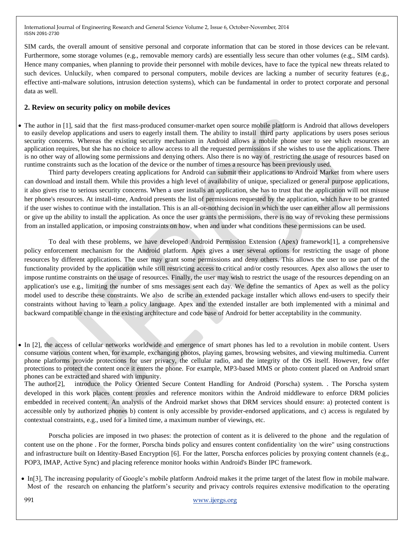SIM cards, the overall amount of sensitive personal and corporate information that can be stored in those devices can be relevant. Furthermore, some storage volumes (e.g., removable memory cards) are essentially less secure than other volumes (e.g., SIM cards). Hence many companies, when planning to provide their personnel with mobile devices, have to face the typical new threats related to such devices. Unluckily, when compared to personal computers, mobile devices are lacking a number of security features (e.g., effective anti-malware solutions, intrusion detection systems), which can be fundamental in order to protect corporate and personal data as well.

# **2. Review on security policy on mobile devices**

 The author in [1], said that the first mass-produced consumer-market open source mobile platform is Android that allows developers to easily develop applications and users to eagerly install them. The ability to install third party applications by users poses serious security concerns. Whereas the existing security mechanism in Android allows a mobile phone user to see which resources an application requires, but she has no choice to allow access to all the requested permissions if she wishes to use the applications. There is no other way of allowing some permissions and denying others. Also there is no way of restricting the usage of resources based on runtime constraints such as the location of the device or the number of times a resource has been previously used.

Third party developers creating applications for Android can submit their applications to Android Market from where users can download and install them. While this provides a high level of availability of unique, specialized or general purpose applications, it also gives rise to serious security concerns. When a user installs an application, she has to trust that the application will not misuse her phone's resources. At install-time, Android presents the list of permissions requested by the application, which have to be granted if the user wishes to continue with the installation. This is an all-or-nothing decision in which the user can either allow all permissions or give up the ability to install the application. As once the user grants the permissions, there is no way of revoking these permissions from an installed application, or imposing constraints on how, when and under what conditions these permissions can be used.

To deal with these problems, we have developed Android Permission Extension (Apex) framework[1], a comprehensive policy enforcement mechanism for the Android platform. Apex gives a user several options for restricting the usage of phone resources by different applications. The user may grant some permissions and deny others. This allows the user to use part of the functionality provided by the application while still restricting access to critical and/or costly resources. Apex also allows the user to impose runtime constraints on the usage of resources. Finally, the user may wish to restrict the usage of the resources depending on an application's use e.g., limiting the number of sms messages sent each day. We define the semantics of Apex as well as the policy model used to describe these constraints. We also de scribe an extended package installer which allows end-users to specify their constraints without having to learn a policy language. Apex and the extended installer are both implemented with a minimal and backward compatible change in the existing architecture and code base of Android for better acceptability in the community.

 In [2], the access of cellular networks worldwide and emergence of smart phones has led to a revolution in mobile content. Users consume various content when, for example, exchanging photos, playing games, browsing websites, and viewing multimedia. Current phone platforms provide protections for user privacy, the cellular radio, and the integrity of the OS itself. However, few offer protections to protect the content once it enters the phone. For example, MP3-based MMS or photo content placed on Android smart phones can be extracted and shared with impunity.

The author[2], introduce the Policy Oriented Secure Content Handling for Android (Porscha) system. . The Porscha system developed in this work places content proxies and reference monitors within the Android middleware to enforce DRM policies embedded in received content. An analysis of the Android market shows that DRM services should ensure: a) protected content is accessible only by authorized phones b) content is only accessible by provider-endorsed applications, and c) access is regulated by contextual constraints, e.g., used for a limited time, a maximum number of viewings, etc.

Porscha policies are imposed in two phases: the protection of content as it is delivered to the phone and the regulation of content use on the phone . For the former, Porscha binds policy and ensures content confidentiality \on the wire" using constructions and infrastructure built on Identity-Based Encryption [6]. For the latter, Porscha enforces policies by proxying content channels (e.g., POP3, IMAP, Active Sync) and placing reference monitor hooks within Android's Binder IPC framework.

 In[3], The increasing popularity of Google's mobile platform Android makes it the prime target of the latest flow in mobile malware. Most of the research on enhancing the platform's security and privacy controls requires extensive modification to the operating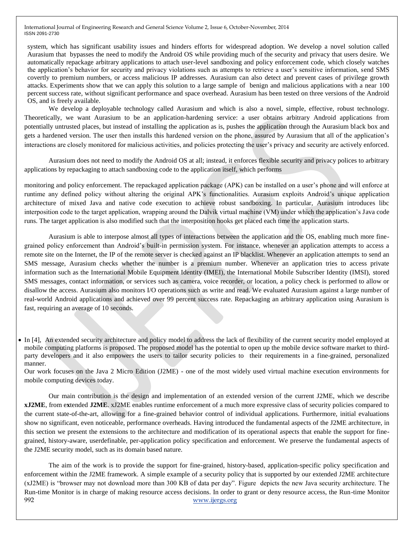system, which has significant usability issues and hinders efforts for widespread adoption. We develop a novel solution called Aurasium that bypasses the need to modify the Android OS while providing much of the security and privacy that users desire. We automatically repackage arbitrary applications to attach user-level sandboxing and policy enforcement code, which closely watches the application's behavior for security and privacy violations such as attempts to retrieve a user's sensitive information, send SMS covertly to premium numbers, or access malicious IP addresses. Aurasium can also detect and prevent cases of privilege growth attacks. Experiments show that we can apply this solution to a large sample of benign and malicious applications with a near 100 percent success rate, without significant performance and space overhead. Aurasium has been tested on three versions of the Android OS, and is freely available.

We develop a deployable technology called Aurasium and which is also a novel, simple, effective, robust technology. Theoretically, we want Aurasium to be an application-hardening service: a user obtains arbitrary Android applications from potentially untrusted places, but instead of installing the application as is, pushes the application through the Aurasium black box and gets a hardened version. The user then installs this hardened version on the phone, assured by Aurasium that all of the application's interactions are closely monitored for malicious activities, and policies protecting the user's privacy and security are actively enforced.

Aurasium does not need to modify the Android OS at all; instead, it enforces flexible security and privacy polices to arbitrary applications by repackaging to attach sandboxing code to the application itself, which performs

monitoring and policy enforcement. The repackaged application package (APK) can be installed on a user's phone and will enforce at runtime any defined policy without altering the original APK's functionalities. Aurasium exploits Android's unique application architecture of mixed Java and native code execution to achieve robust sandboxing. In particular, Aurasium introduces libc interposition code to the target application, wrapping around the Dalvik virtual machine (VM) under which the application's Java code runs. The target application is also modified such that the interposition hooks get placed each time the application starts.

Aurasium is able to interpose almost all types of interactions between the application and the OS, enabling much more finegrained policy enforcement than Android's built-in permission system. For instance, whenever an application attempts to access a remote site on the Internet, the IP of the remote server is checked against an IP blacklist. Whenever an application attempts to send an SMS message, Aurasium checks whether the number is a premium number. Whenever an application tries to access private information such as the International Mobile Equipment Identity (IMEI), the International Mobile Subscriber Identity (IMSI), stored SMS messages, contact information, or services such as camera, voice recorder, or location, a policy check is performed to allow or disallow the access. Aurasium also monitors I/O operations such as write and read. We evaluated Aurasium against a large number of real-world Android applications and achieved over 99 percent success rate. Repackaging an arbitrary application using Aurasium is fast, requiring an average of 10 seconds.

 In [4], An extended security architecture and policy model to address the lack of flexibility of the current security model employed at mobile computing platforms is proposed. The proposed model has the potential to open up the mobile device software market to thirdparty developers and it also empowers the users to tailor security policies to their requirements in a fine-grained, personalized manner.

Our work focuses on the Java 2 Micro Edition (J2ME) - one of the most widely used virtual machine execution environments for mobile computing devices today.

Our main contribution is the design and implementation of an extended version of the current J2ME, which we describe **xJ2ME**, from e**x**tended **J2ME**. xJ2ME enables runtime enforcement of a much more expressive class of security policies compared to the current state-of-the-art, allowing for a fine-grained behavior control of individual applications. Furthermore, initial evaluations show no significant, even noticeable, performance overheads. Having introduced the fundamental aspects of the J2ME architecture, in this section we present the extensions to the architecture and modification of its operational aspects that enable the support for finegrained, history-aware, userdefinable, per-application policy specification and enforcement. We preserve the fundamental aspects of the J2ME security model, such as its domain based nature.

992 www.ijergs.org The aim of the work is to provide the support for fine-grained, history-based, application-specific policy specification and enforcement within the J2ME framework. A simple example of a security policy that is supported by our extended J2ME architecture (xJ2ME) is "browser may not download more than 300 KB of data per day". Figure depicts the new Java security architecture. The Run-time Monitor is in charge of making resource access decisions. In order to grant or deny resource access, the Run-time Monitor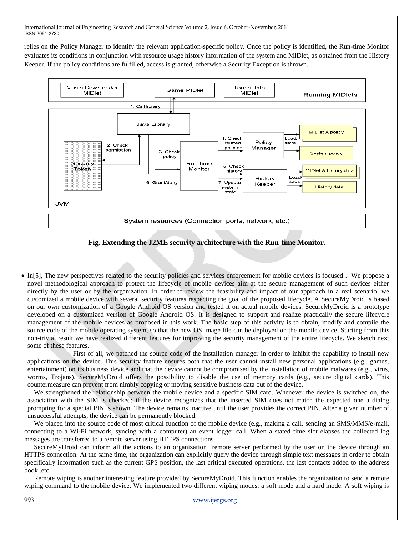relies on the Policy Manager to identify the relevant application-specific policy. Once the policy is identified, the Run-time Monitor evaluates its conditions in conjunction with resource usage history information of the system and MIDlet, as obtained from the History Keeper. If the policy conditions are fulfilled, access is granted, otherwise a Security Exception is thrown.



## **Fig. Extending the J2ME security architecture with the Run-time Monitor.**

 In[5], The new perspectives related to the security policies and services enforcement for mobile devices is focused . We propose a novel methodological approach to protect the lifecycle of mobile devices aim at the secure management of such devices either directly by the user or by the organization. In order to review the feasibility and impact of our approach in a real scenario, we customized a mobile device with several security features respecting the goal of the proposed lifecycle. A SecureMyDroid is based on our own customization of a Google Android OS version and tested it on actual mobile devices. SecureMyDroid is a prototype developed on a customized version of Google Android OS. It is designed to support and realize practically the secure lifecycle management of the mobile devices as proposed in this work. The basic step of this activity is to obtain, modify and compile the source code of the mobile operating system, so that the new OS image file can be deployed on the mobile device. Starting from this non-trivial result we have realized different features for improving the security management of the entire lifecycle. We sketch next some of these features.

 First of all, we patched the source code of the installation manager in order to inhibit the capability to install new applications on the device. This security feature ensures both that the user cannot install new personal applications (e.g., games, entertainment) on its business device and that the device cannot be compromised by the installation of mobile malwares (e.g., virus, worms, Trojans). SecureMyDroid offers the possibility to disable the use of memory cards (e.g., secure digital cards). This countermeasure can prevent from nimbly copying or moving sensitive business data out of the device.

We strengthened the relationship between the mobile device and a specific SIM card. Whenever the device is switched on, the association with the SIM is checked; if the device recognizes that the inserted SIM does not match the expected one a dialog prompting for a special PIN is shown. The device remains inactive until the user provides the correct PIN. After a given number of unsuccessful attempts, the device can be permanently blocked.

We placed into the source code of most critical function of the mobile device (e.g., making a call, sending an SMS/MMS/e-mail, connecting to a Wi-Fi network, syncing with a computer) an event logger call. When a stated time slot elapses the collected log messages are transferred to a remote server using HTTPS connections.

SecureMyDroid can inform all the actions to an organization remote server performed by the user on the device through an HTTPS connection. At the same time, the organization can explicitly query the device through simple text messages in order to obtain specifically information such as the current GPS position, the last critical executed operations, the last contacts added to the address book..etc.

Remote wiping is another interesting feature provided by SecureMyDroid. This function enables the organization to send a remote wiping command to the mobile device. We implemented two different wiping modes: a soft mode and a hard mode. A soft wiping is